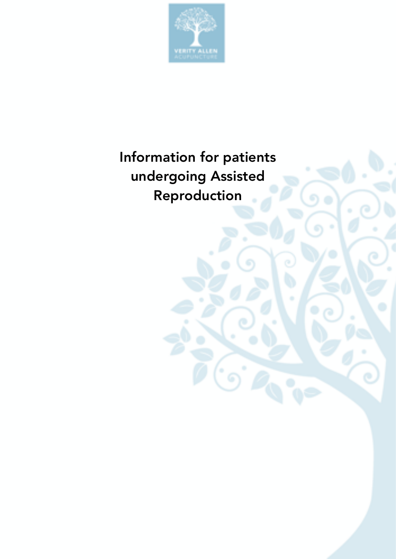

# Information for patients undergoing Assisted Reproduction

ົດໍ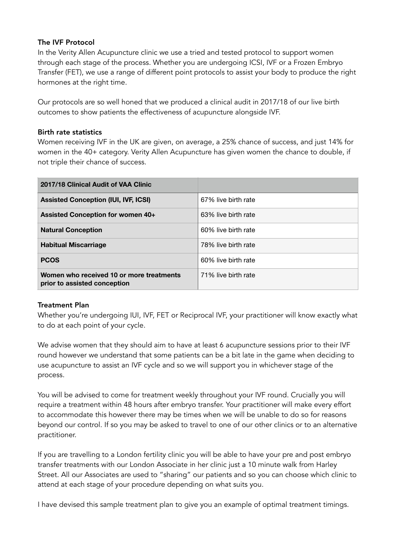## The IVF Protocol

In the Verity Allen Acupuncture clinic we use a tried and tested protocol to support women through each stage of the process. Whether you are undergoing ICSI, IVF or a Frozen Embryo Transfer (FET), we use a range of different point protocols to assist your body to produce the right hormones at the right time.

Our protocols are so well honed that we produced a clinical audit in 2017/18 of our live birth outcomes to show patients the effectiveness of acupuncture alongside IVF.

#### Birth rate statistics

Women receiving IVF in the UK are given, on average, a 25% chance of success, and just 14% for women in the 40+ category. Verity Allen Acupuncture has given women the chance to double, if not triple their chance of success.

| 2017/18 Clinical Audit of VAA Clinic                                     |                     |
|--------------------------------------------------------------------------|---------------------|
| <b>Assisted Conception (IUI, IVF, ICSI)</b>                              | 67% live birth rate |
| <b>Assisted Conception for women 40+</b>                                 | 63% live birth rate |
| <b>Natural Conception</b>                                                | 60% live birth rate |
| <b>Habitual Miscarriage</b>                                              | 78% live birth rate |
| <b>PCOS</b>                                                              | 60% live birth rate |
| Women who received 10 or more treatments<br>prior to assisted conception | 71% live birth rate |

## Treatment Plan

Whether you're undergoing IUI, IVF, FET or Reciprocal IVF, your practitioner will know exactly what to do at each point of your cycle.

We advise women that they should aim to have at least 6 acupuncture sessions prior to their IVF round however we understand that some patients can be a bit late in the game when deciding to use acupuncture to assist an IVF cycle and so we will support you in whichever stage of the process.

You will be advised to come for treatment weekly throughout your IVF round. Crucially you will require a treatment within 48 hours after embryo transfer. Your practitioner will make every effort to accommodate this however there may be times when we will be unable to do so for reasons beyond our control. If so you may be asked to travel to one of our other clinics or to an alternative practitioner.

If you are travelling to a London fertility clinic you will be able to have your pre and post embryo transfer treatments with our London Associate in her clinic just a 10 minute walk from Harley Street. All our Associates are used to "sharing" our patients and so you can choose which clinic to attend at each stage of your procedure depending on what suits you.

I have devised this sample treatment plan to give you an example of optimal treatment timings.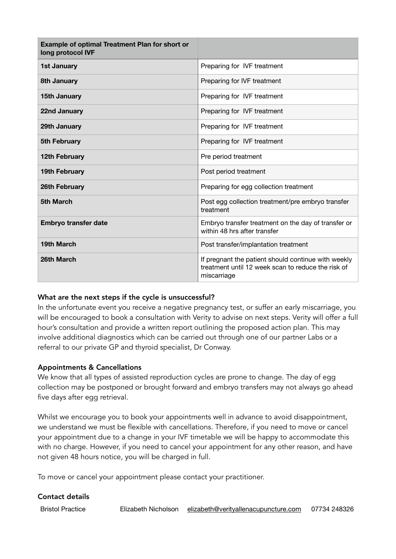| <b>Example of optimal Treatment Plan for short or</b><br>long protocol IVF |                                                                                                                          |  |
|----------------------------------------------------------------------------|--------------------------------------------------------------------------------------------------------------------------|--|
| <b>1st January</b>                                                         | Preparing for IVF treatment                                                                                              |  |
| 8th January                                                                | Preparing for IVF treatment                                                                                              |  |
| <b>15th January</b>                                                        | Preparing for IVF treatment                                                                                              |  |
| 22nd January                                                               | Preparing for IVF treatment                                                                                              |  |
| 29th January                                                               | Preparing for IVF treatment                                                                                              |  |
| 5th February                                                               | Preparing for IVF treatment                                                                                              |  |
| 12th February                                                              | Pre period treatment                                                                                                     |  |
| 19th February                                                              | Post period treatment                                                                                                    |  |
| 26th February                                                              | Preparing for egg collection treatment                                                                                   |  |
| 5th March                                                                  | Post egg collection treatment/pre embryo transfer<br>treatment                                                           |  |
| Embryo transfer date                                                       | Embryo transfer treatment on the day of transfer or<br>within 48 hrs after transfer                                      |  |
| 19th March                                                                 | Post transfer/implantation treatment                                                                                     |  |
| 26th March                                                                 | If pregnant the patient should continue with weekly<br>treatment until 12 week scan to reduce the risk of<br>miscarriage |  |

## What are the next steps if the cycle is unsuccessful?

In the unfortunate event you receive a negative pregnancy test, or suffer an early miscarriage, you will be encouraged to book a consultation with Verity to advise on next steps. Verity will offer a full hour's consultation and provide a written report outlining the proposed action plan. This may involve additional diagnostics which can be carried out through one of our partner Labs or a referral to our private GP and thyroid specialist, Dr Conway.

#### Appointments & Cancellations

We know that all types of assisted reproduction cycles are prone to change. The day of egg collection may be postponed or brought forward and embryo transfers may not always go ahead five days after egg retrieval.

Whilst we encourage you to book your appointments well in advance to avoid disappointment, we understand we must be flexible with cancellations. Therefore, if you need to move or cancel your appointment due to a change in your IVF timetable we will be happy to accommodate this with no charge. However, if you need to cancel your appointment for any other reason, and have not given 48 hours notice, you will be charged in full.

To move or cancel your appointment please contact your practitioner.

#### Contact details

Bristol Practice Elizabeth Nicholson [elizabeth@verityallenacupuncture.com](mailto:elizabeth@verityallenacupuncture.com) 07734 248326